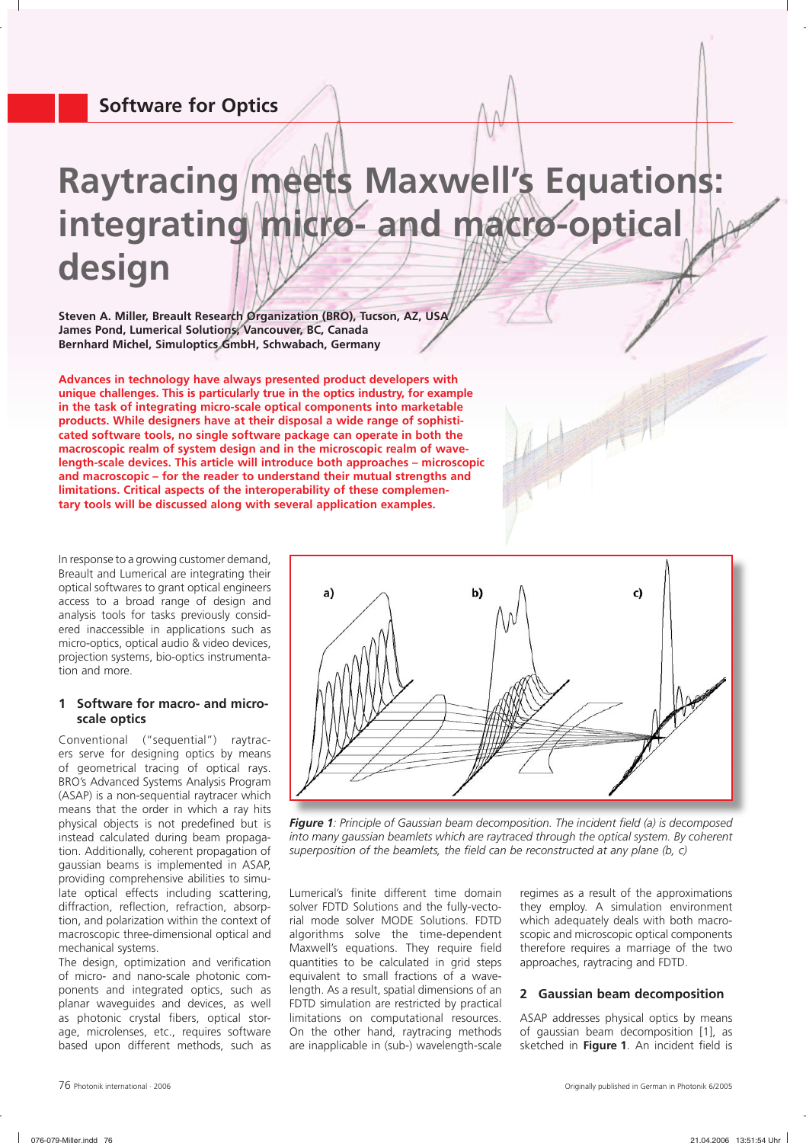# **Raytracing meets Maxwell's Equations: integrating micro- and macro-optical design**

**Steven A. Miller, Breault Research Organization (BRO), Tucson, AZ, USA James Pond, Lumerical Solutions, Vancouver, BC, Canada Bernhard Michel, Simuloptics GmbH, Schwabach, Germany**

**Advances in technology have always presented product developers with unique challenges. This is particularly true in the optics industry, for example in the task of integrating micro-scale optical components into marketable products. While designers have at their disposal a wide range of sophisticated software tools, no single software package can operate in both the macroscopic realm of system design and in the microscopic realm of wavelength-scale devices. This article will introduce both approaches – microscopic and macroscopic – for the reader to understand their mutual strengths and limitations. Critical aspects of the interoperability of these complementary tools will be discussed along with several application examples.**

In response to a growing customer demand, Breault and Lumerical are integrating their optical softwares to grant optical engineers access to a broad range of design and analysis tools for tasks previously considered inaccessible in applications such as micro-optics, optical audio & video devices, projection systems, bio-optics instrumentation and more.

# **1 Software for macro- and microscale optics**

Conventional ("sequential") raytracers serve for designing optics by means of geometrical tracing of optical rays. BRO's Advanced Systems Analysis Program (ASAP) is a non-sequential raytracer which means that the order in which a ray hits physical objects is not predefined but is instead calculated during beam propagation. Additionally, coherent propagation of gaussian beams is implemented in ASAP, providing comprehensive abilities to simulate optical effects including scattering, diffraction, reflection, refraction, absorption, and polarization within the context of macroscopic three-dimensional optical and mechanical systems.

The design, optimization and verification of micro- and nano-scale photonic components and integrated optics, such as planar waveguides and devices, as well as photonic crystal fibers, optical storage, microlenses, etc., requires software based upon different methods, such as



**Figure 1***: Principle of Gaussian beam decomposition. The incident field (a) is decomposed into many gaussian beamlets which are raytraced through the optical system. By coherent*  superposition of the beamlets, the field can be reconstructed at any plane (b, c)

Lumerical's finite different time domain solver FDTD Solutions and the fully-vectorial mode solver MODE Solutions. FDTD algorithms solve the time-dependent Maxwell's equations. They require field quantities to be calculated in grid steps equivalent to small fractions of a wavelength. As a result, spatial dimensions of an FDTD simulation are restricted by practical limitations on computational resources. On the other hand, raytracing methods are inapplicable in (sub-) wavelength-scale

regimes as a result of the approximations they employ. A simulation environment which adequately deals with both macroscopic and microscopic optical components therefore requires a marriage of the two approaches, raytracing and FDTD.

# **2 Gaussian beam decomposition**

ASAP addresses physical optics by means of gaussian beam decomposition [1], as sketched in Figure 1. An incident field is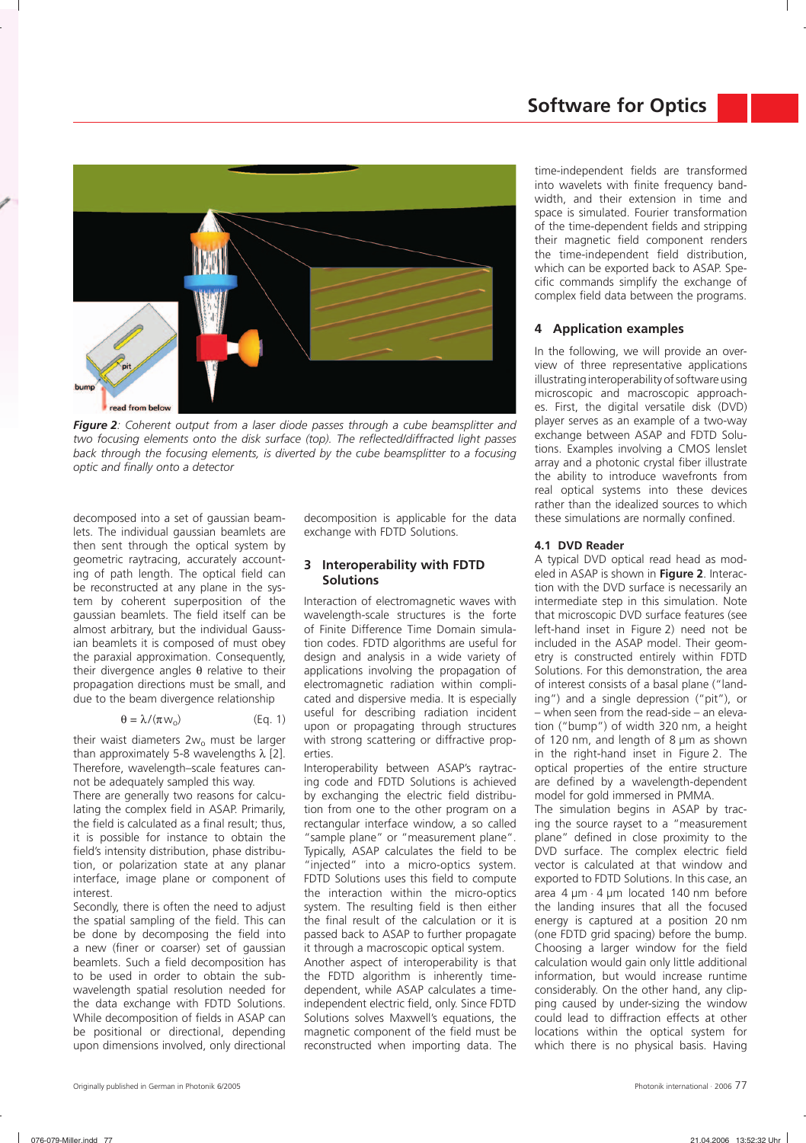

*Figure 2: Coherent output from a laser diode passes through a cube beamsplitter and*  two focusing elements onto the disk surface (top). The reflected/diffracted light passes *back through the focusing elements, is diverted by the cube beamsplitter to a focusing*  optic and finally onto a detector

decomposed into a set of gaussian beamlets. The individual gaussian beamlets are then sent through the optical system by geometric raytracing, accurately accounting of path length. The optical field can be reconstructed at any plane in the system by coherent superposition of the gaussian beamlets. The field itself can be almost arbitrary, but the individual Gaussian beamlets it is composed of must obey the paraxial approximation. Consequently, their divergence angles  $θ$  relative to their propagation directions must be small, and due to the beam divergence relationship

$$
\theta = \lambda / (\pi w_o) \tag{Eq. 1}
$$

their waist diameters  $2w_0$  must be larger than approximately 5-8 wavelengths  $\lambda$  [2]. Therefore, wavelength–scale features cannot be adequately sampled this way.

There are generally two reasons for calculating the complex field in ASAP. Primarily, the field is calculated as a final result; thus, it is possible for instance to obtain the field's intensity distribution, phase distribution, or polarization state at any planar interface, image plane or component of interest.

Secondly, there is often the need to adjust the spatial sampling of the field. This can be done by decomposing the field into a new (finer or coarser) set of gaussian beamlets. Such a field decomposition has to be used in order to obtain the subwavelength spatial resolution needed for the data exchange with FDTD Solutions. While decomposition of fields in ASAP can be positional or directional, depending upon dimensions involved, only directional

decomposition is applicable for the data exchange with FDTD Solutions.

## **3 Interoperability with FDTD Solutions**

Interaction of electromagnetic waves with wavelength-scale structures is the forte of Finite Difference Time Domain simulation codes. FDTD algorithms are useful for design and analysis in a wide variety of applications involving the propagation of electromagnetic radiation within complicated and dispersive media. It is especially useful for describing radiation incident upon or propagating through structures with strong scattering or diffractive properties.

Interoperability between ASAP's raytracing code and FDTD Solutions is achieved by exchanging the electric field distribution from one to the other program on a rectangular interface window, a so called "sample plane" or "measurement plane". Typically, ASAP calculates the field to be "injected" into a micro-optics system. FDTD Solutions uses this field to compute the interaction within the micro-optics system. The resulting field is then either the final result of the calculation or it is passed back to ASAP to further propagate it through a macroscopic optical system.

Another aspect of interoperability is that the FDTD algorithm is inherently timedependent, while ASAP calculates a timeindependent electric field, only. Since FDTD Solutions solves Maxwell's equations, the magnetic component of the field must be reconstructed when importing data. The time-independent fields are transformed into wavelets with finite frequency bandwidth, and their extension in time and space is simulated. Fourier transformation of the time-dependent fields and stripping their magnetic field component renders the time-independent field distribution, which can be exported back to ASAP. Specific commands simplify the exchange of complex field data between the programs.

# **4 Application examples**

In the following, we will provide an overview of three representative applications illustrating interoperability of software using microscopic and macroscopic approaches. First, the digital versatile disk (DVD) player serves as an example of a two-way exchange between ASAP and FDTD Solutions. Examples involving a CMOS lenslet array and a photonic crystal fiber illustrate the ability to introduce wavefronts from real optical systems into these devices rather than the idealized sources to which these simulations are normally confined.

## **4.1 DVD Reader**

A typical DVD optical read head as modeled in ASAP is shown in **Figure 2**. Interaction with the DVD surface is necessarily an intermediate step in this simulation. Note that microscopic DVD surface features (see left-hand inset in Figure 2) need not be included in the ASAP model. Their geometry is constructed entirely within FDTD Solutions. For this demonstration, the area of interest consists of a basal plane ("landing") and a single depression ("pit"), or – when seen from the read-side – an elevation ("bump") of width 320 nm, a height of 120 nm, and length of 8 µm as shown in the right-hand inset in Figure 2. The optical properties of the entire structure are defined by a wavelength-dependent model for gold immersed in PMMA.

The simulation begins in ASAP by tracing the source rayset to a "measurement plane" defined in close proximity to the DVD surface. The complex electric field vector is calculated at that window and exported to FDTD Solutions. In this case, an area 4 µm ⋅ 4 µm located 140 nm before the landing insures that all the focused energy is captured at a position 20 nm (one FDTD grid spacing) before the bump. Choosing a larger window for the field calculation would gain only little additional information, but would increase runtime considerably. On the other hand, any clipping caused by under-sizing the window could lead to diffraction effects at other locations within the optical system for which there is no physical basis. Having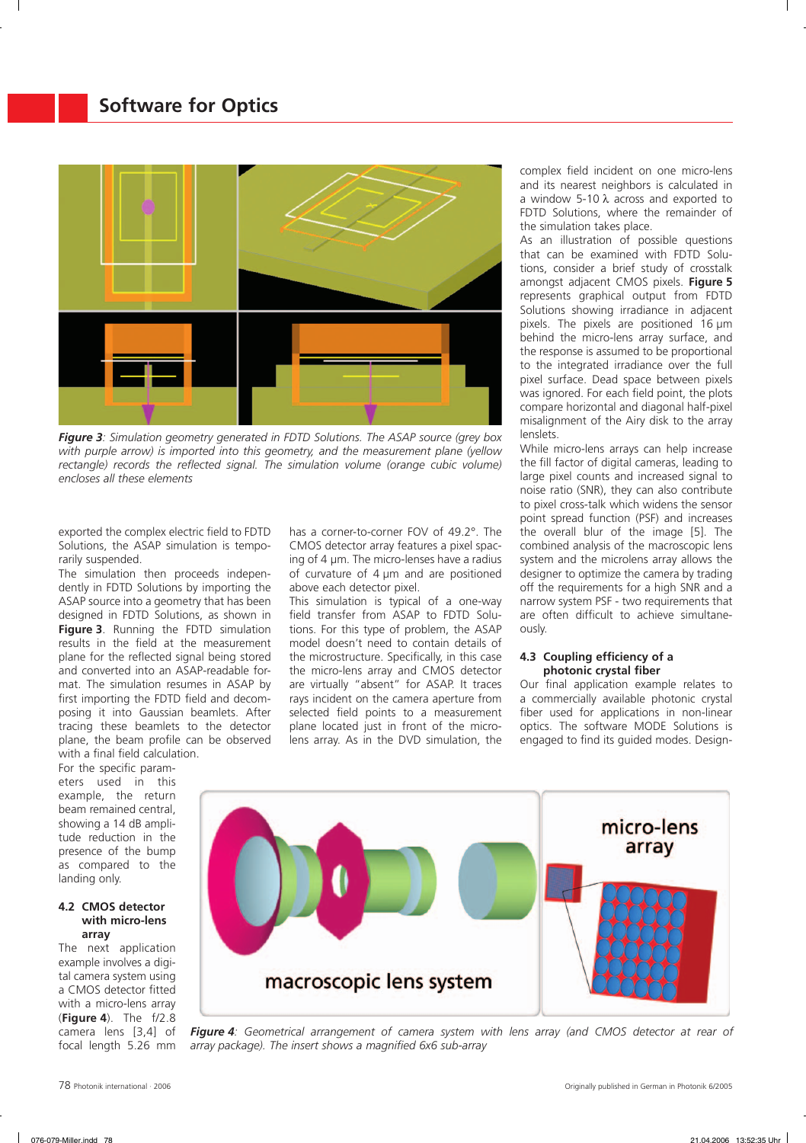

*Figure 3: Simulation geometry generated in FDTD Solutions. The ASAP source (grey box with purple arrow) is imported into this geometry, and the measurement plane (yellow*  rectangle) records the reflected signal. The simulation volume (orange cubic volume) *encloses all these elements*

exported the complex electric field to FDTD Solutions, the ASAP simulation is temporarily suspended.

The simulation then proceeds independently in FDTD Solutions by importing the ASAP source into a geometry that has been designed in FDTD Solutions, as shown in **Figure 3**. Running the FDTD simulation results in the field at the measurement plane for the reflected signal being stored and converted into an ASAP-readable format. The simulation resumes in ASAP by first importing the FDTD field and decomposing it into Gaussian beamlets. After tracing these beamlets to the detector plane, the beam profile can be observed with a final field calculation.

For the specific parameters used in this example, the return beam remained central, showing a 14 dB amplitude reduction in the presence of the bump as compared to the landing only.

#### **4.2 CMOS detector with micro-lens array**

The next application example involves a digital camera system using a CMOS detector fitted with a micro-lens array (**Figure 4**). The f/2.8 camera lens [3,4] of focal length 5.26 mm has a corner-to-corner FOV of 49.2°. The CMOS detector array features a pixel spacing of 4 µm. The micro-lenses have a radius of curvature of 4 µm and are positioned above each detector pixel.

This simulation is typical of a one-way field transfer from ASAP to FDTD Solutions. For this type of problem, the ASAP model doesn't need to contain details of the microstructure. Specifically, in this case the micro-lens array and CMOS detector are virtually "absent" for ASAP. It traces rays incident on the camera aperture from selected field points to a measurement plane located just in front of the microlens array. As in the DVD simulation, the

complex field incident on one micro-lens and its nearest neighbors is calculated in a window 5-10 λ across and exported to FDTD Solutions, where the remainder of the simulation takes place.

As an illustration of possible questions that can be examined with FDTD Solutions, consider a brief study of crosstalk amongst adjacent CMOS pixels. **Figure 5** represents graphical output from FDTD Solutions showing irradiance in adjacent pixels. The pixels are positioned 16 µm behind the micro-lens array surface, and the response is assumed to be proportional to the integrated irradiance over the full pixel surface. Dead space between pixels was ignored. For each field point, the plots compare horizontal and diagonal half-pixel misalignment of the Airy disk to the array lenslets.

While micro-lens arrays can help increase the fill factor of digital cameras, leading to large pixel counts and increased signal to noise ratio (SNR), they can also contribute to pixel cross-talk which widens the sensor point spread function (PSF) and increases the overall blur of the image [5]. The combined analysis of the macroscopic lens system and the microlens array allows the designer to optimize the camera by trading off the requirements for a high SNR and a narrow system PSF - two requirements that are often difficult to achieve simultaneously.

#### **4.3 Coupling efficiency of a photonic crystal fiber**

Our final application example relates to a commercially available photonic crystal fiber used for applications in non-linear optics. The software MODE Solutions is engaged to find its guided modes. Design-



*Figure 4: Geometrical arrangement of camera system with lens array (and CMOS detector at rear of*  array package). The insert shows a magnified 6x6 sub-array